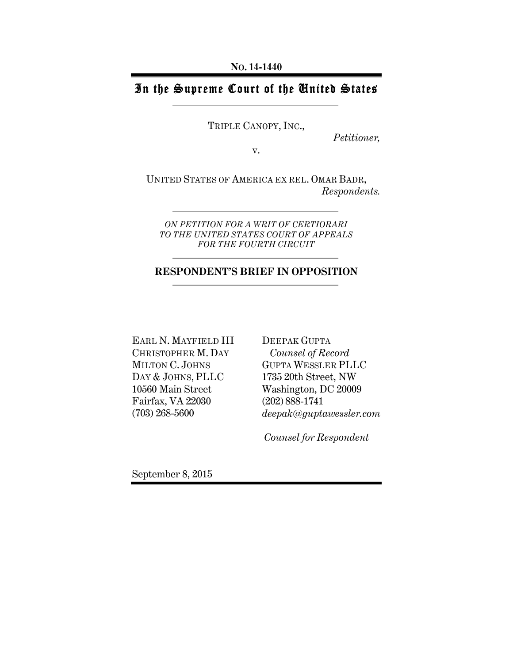# In the Supreme Court of the United States

TRIPLE CANOPY, INC.,

*Petitioner,*

v.

UNITED STATES OF AMERICA EX REL. OMAR BADR, *Respondents.*

*ON PETITION FOR A WRIT OF CERTIORARI TO THE UNITED STATES COURT OF APPEALS FOR THE FOURTH CIRCUIT*

#### **RESPONDENT'S BRIEF IN OPPOSITION**

EARL N. MAYFIELD III CHRISTOPHER M. DAY MILTON C. JOHNS DAY & JOHNS, PLLC 10560 Main Street Fairfax, VA 22030 (703) 268-5600

DEEPAK GUPTA *Counsel of Record* GUPTA WESSLER PLLC 1735 20th Street, NW Washington, DC 20009 (202) 888-1741 *deepak@guptawessler.com*

*Counsel for Respondent*

September 8, 2015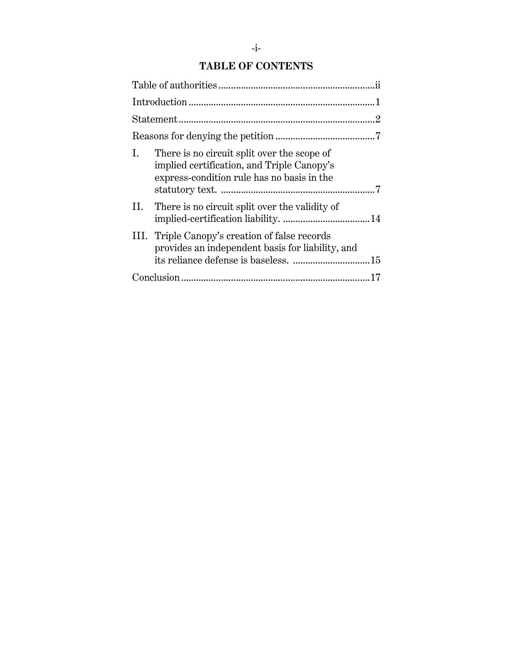# **TABLE OF CONTENTS**

| There is no circuit split over the scope of<br>L.<br>implied certification, and Triple Canopy's<br>express-condition rule has no basis in the |  |  |
|-----------------------------------------------------------------------------------------------------------------------------------------------|--|--|
| II. There is no circuit split over the validity of                                                                                            |  |  |
| III. Triple Canopy's creation of false records<br>provides an independent basis for liability, and                                            |  |  |
|                                                                                                                                               |  |  |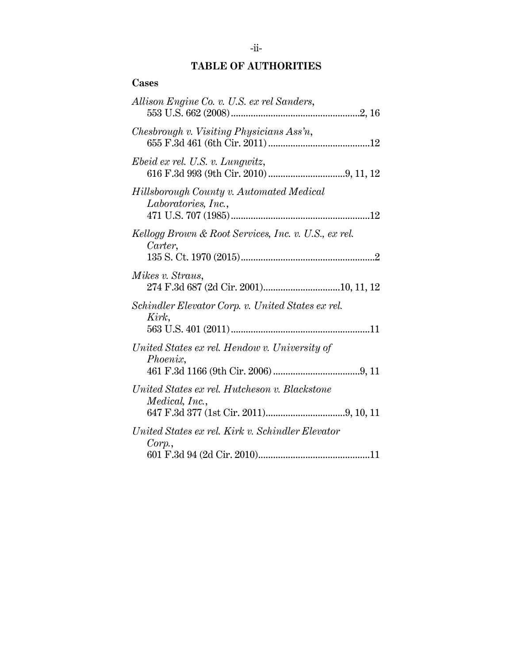# **TABLE OF AUTHORITIES**

| Cases                                                           |
|-----------------------------------------------------------------|
| Allison Engine Co. v. U.S. ex rel Sanders,                      |
| Chesbrough v. Visiting Physicians Ass'n,                        |
| $Ebeid$ ex rel. U.S. v. Lunqwitz,                               |
| Hillsborough County v. Automated Medical<br>Laboratories, Inc., |
| Kellogg Brown & Root Services, Inc. v. U.S., ex rel.<br>Carter, |
| Mikes v. Straus,                                                |
| Schindler Elevator Corp. v. United States ex rel.<br>Kirk,      |
| United States ex rel. Hendow v. University of<br>Phoenix,       |
| United States ex rel. Hutcheson v. Blackstone<br>Medical, Inc., |
| United States ex rel. Kirk v. Schindler Elevator<br>Corp.,      |
|                                                                 |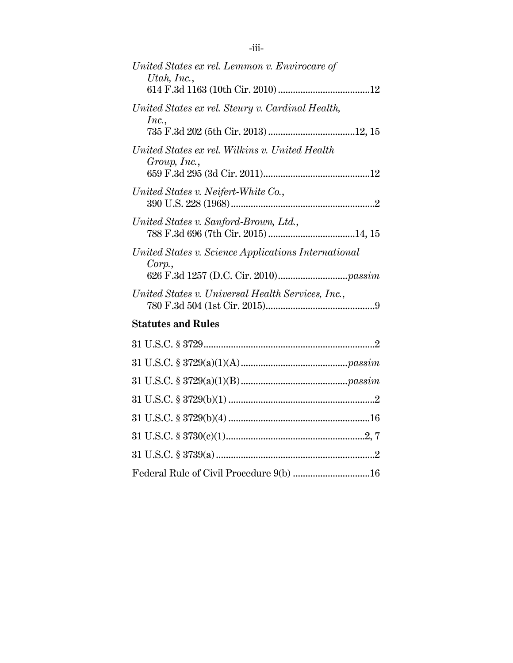| United States ex rel. Lemmon v. Envirocare of<br>Utah, Inc.,   |
|----------------------------------------------------------------|
| United States ex rel. Steury v. Cardinal Health,<br>Inc.,      |
| United States ex rel. Wilkins v. United Health<br>Group, Inc., |
| United States v. Neifert-White Co.,                            |
| United States v. Sanford-Brown, Ltd.,                          |
| United States v. Science Applications International<br>Corp.   |
| United States v. Universal Health Services, Inc.,              |
| <b>Statutes and Rules</b>                                      |
|                                                                |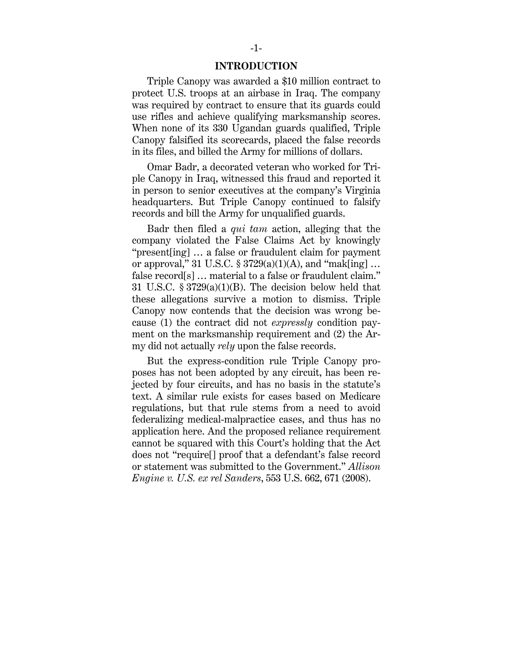#### **INTRODUCTION**

Triple Canopy was awarded a \$10 million contract to protect U.S. troops at an airbase in Iraq. The company was required by contract to ensure that its guards could use rifles and achieve qualifying marksmanship scores. When none of its 330 Ugandan guards qualified, Triple Canopy falsified its scorecards, placed the false records in its files, and billed the Army for millions of dollars.

Omar Badr, a decorated veteran who worked for Triple Canopy in Iraq, witnessed this fraud and reported it in person to senior executives at the company's Virginia headquarters. But Triple Canopy continued to falsify records and bill the Army for unqualified guards.

Badr then filed a *qui tam* action, alleging that the company violated the False Claims Act by knowingly "present[ing] … a false or fraudulent claim for payment or approval," 31 U.S.C.  $\S 3729(a)(1)(A)$ , and "mak[ing] ... false record[s] … material to a false or fraudulent claim." 31 U.S.C. § 3729(a)(1)(B). The decision below held that these allegations survive a motion to dismiss. Triple Canopy now contends that the decision was wrong because (1) the contract did not *expressly* condition payment on the marksmanship requirement and (2) the Army did not actually *rely* upon the false records.

But the express-condition rule Triple Canopy proposes has not been adopted by any circuit, has been rejected by four circuits, and has no basis in the statute's text. A similar rule exists for cases based on Medicare regulations, but that rule stems from a need to avoid federalizing medical-malpractice cases, and thus has no application here. And the proposed reliance requirement cannot be squared with this Court's holding that the Act does not "require[] proof that a defendant's false record or statement was submitted to the Government." *Allison Engine v. U.S. ex rel Sanders*, 553 U.S. 662, 671 (2008).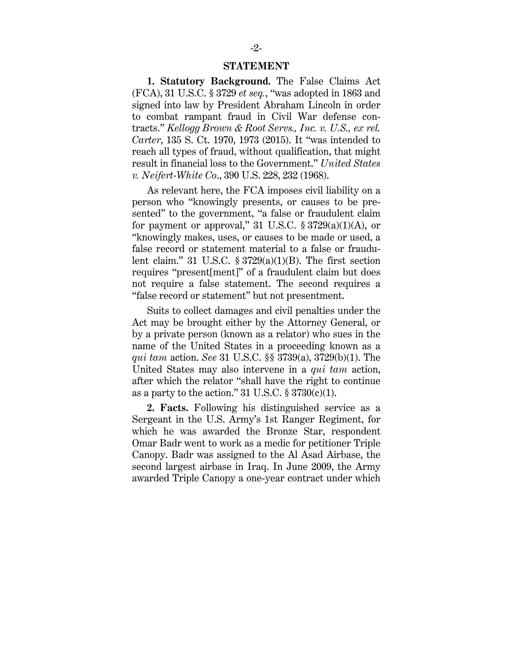#### **STATEMENT**

**1. Statutory Background.** The False Claims Act (FCA), 31 U.S.C. § 3729 *et seq.*, "was adopted in 1863 and signed into law by President Abraham Lincoln in order to combat rampant fraud in Civil War defense contracts." *Kellogg Brown & Root Servs., Inc. v. U.S., ex rel. Carter*, 135 S. Ct. 1970, 1973 (2015). It "was intended to reach all types of fraud, without qualification, that might result in financial loss to the Government." *United States v. Neifert-White Co*., 390 U.S. 228, 232 (1968).

As relevant here, the FCA imposes civil liability on a person who "knowingly presents, or causes to be presented" to the government, "a false or fraudulent claim for payment or approval," 31 U.S.C.  $\S 3729(a)(1)(A)$ , or "knowingly makes, uses, or causes to be made or used, a false record or statement material to a false or fraudulent claim." 31 U.S.C.  $\S 3729(a)(1)(B)$ . The first section requires "present[ment]" of a fraudulent claim but does not require a false statement. The second requires a "false record or statement" but not presentment.

Suits to collect damages and civil penalties under the Act may be brought either by the Attorney General, or by a private person (known as a relator) who sues in the name of the United States in a proceeding known as a *qui tam* action. *See* 31 U.S.C. §§ 3739(a), 3729(b)(1). The United States may also intervene in a *qui tam* action, after which the relator "shall have the right to continue as a party to the action." 31 U.S.C.  $\S 3730(c)(1)$ .

**2. Facts.** Following his distinguished service as a Sergeant in the U.S. Army's 1st Ranger Regiment, for which he was awarded the Bronze Star, respondent Omar Badr went to work as a medic for petitioner Triple Canopy. Badr was assigned to the Al Asad Airbase, the second largest airbase in Iraq. In June 2009, the Army awarded Triple Canopy a one-year contract under which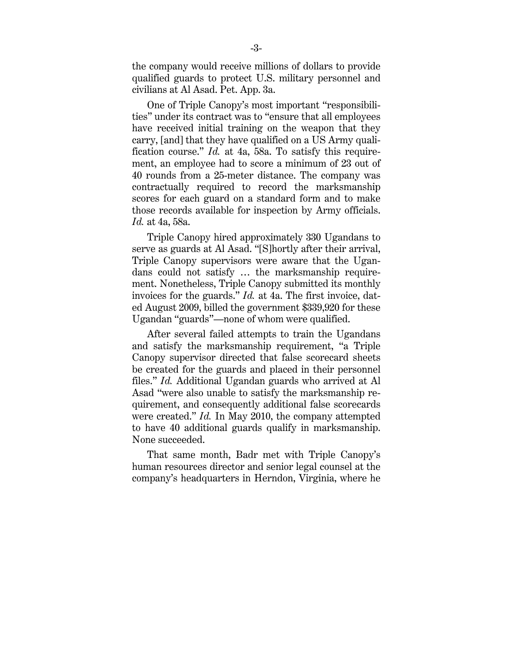the company would receive millions of dollars to provide qualified guards to protect U.S. military personnel and civilians at Al Asad. Pet. App. 3a.

One of Triple Canopy's most important "responsibilities" under its contract was to "ensure that all employees have received initial training on the weapon that they carry, [and] that they have qualified on a US Army qualification course." *Id.* at 4a, 58a. To satisfy this requirement, an employee had to score a minimum of 23 out of 40 rounds from a 25-meter distance. The company was contractually required to record the marksmanship scores for each guard on a standard form and to make those records available for inspection by Army officials. *Id.* at 4a, 58a.

Triple Canopy hired approximately 330 Ugandans to serve as guards at Al Asad. "[S]hortly after their arrival, Triple Canopy supervisors were aware that the Ugandans could not satisfy … the marksmanship requirement. Nonetheless, Triple Canopy submitted its monthly invoices for the guards." *Id.* at 4a. The first invoice, dated August 2009, billed the government \$339,920 for these Ugandan "guards"—none of whom were qualified.

After several failed attempts to train the Ugandans and satisfy the marksmanship requirement, "a Triple Canopy supervisor directed that false scorecard sheets be created for the guards and placed in their personnel files." *Id.* Additional Ugandan guards who arrived at Al Asad "were also unable to satisfy the marksmanship requirement, and consequently additional false scorecards were created." *Id.* In May 2010, the company attempted to have 40 additional guards qualify in marksmanship. None succeeded.

That same month, Badr met with Triple Canopy's human resources director and senior legal counsel at the company's headquarters in Herndon, Virginia, where he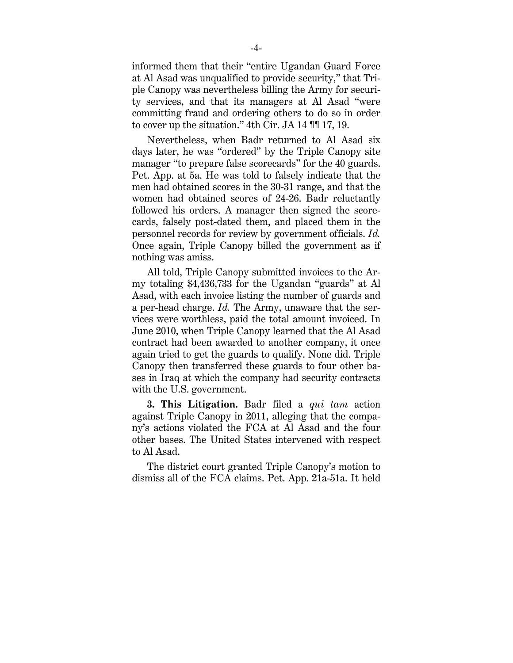informed them that their "entire Ugandan Guard Force at Al Asad was unqualified to provide security," that Triple Canopy was nevertheless billing the Army for security services, and that its managers at Al Asad "were committing fraud and ordering others to do so in order to cover up the situation." 4th Cir. JA 14 ¶¶ 17, 19.

Nevertheless, when Badr returned to Al Asad six days later, he was "ordered" by the Triple Canopy site manager "to prepare false scorecards" for the 40 guards. Pet. App. at 5a. He was told to falsely indicate that the men had obtained scores in the 30-31 range, and that the women had obtained scores of 24-26. Badr reluctantly followed his orders. A manager then signed the scorecards, falsely post-dated them, and placed them in the personnel records for review by government officials. *Id.* Once again, Triple Canopy billed the government as if nothing was amiss.

All told, Triple Canopy submitted invoices to the Army totaling \$4,436,733 for the Ugandan "guards" at Al Asad, with each invoice listing the number of guards and a per-head charge. *Id.* The Army, unaware that the services were worthless, paid the total amount invoiced. In June 2010, when Triple Canopy learned that the Al Asad contract had been awarded to another company, it once again tried to get the guards to qualify. None did. Triple Canopy then transferred these guards to four other bases in Iraq at which the company had security contracts with the U.S. government.

**3. This Litigation.** Badr filed a *qui tam* action against Triple Canopy in 2011, alleging that the company's actions violated the FCA at Al Asad and the four other bases. The United States intervened with respect to Al Asad.

The district court granted Triple Canopy's motion to dismiss all of the FCA claims. Pet. App. 21a-51a. It held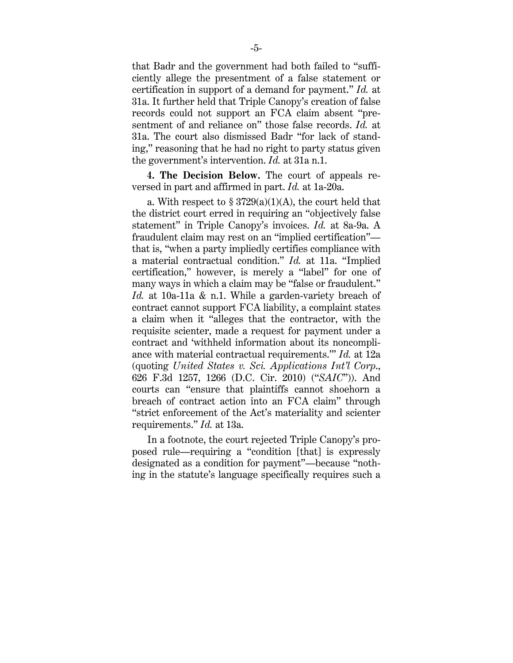that Badr and the government had both failed to "sufficiently allege the presentment of a false statement or certification in support of a demand for payment." *Id.* at 31a. It further held that Triple Canopy's creation of false records could not support an FCA claim absent "presentment of and reliance on" those false records. *Id.* at 31a. The court also dismissed Badr "for lack of standing," reasoning that he had no right to party status given the government's intervention. *Id.* at 31a n.1.

**4. The Decision Below.** The court of appeals reversed in part and affirmed in part. *Id.* at 1a-20a.

a. With respect to  $\S 3729(a)(1)(A)$ , the court held that the district court erred in requiring an "objectively false statement" in Triple Canopy's invoices. *Id.* at 8a-9a. A fraudulent claim may rest on an "implied certification" that is, "when a party impliedly certifies compliance with a material contractual condition." *Id.* at 11a. "Implied certification," however, is merely a "label" for one of many ways in which a claim may be "false or fraudulent." *Id.* at 10a-11a & n.1. While a garden-variety breach of contract cannot support FCA liability, a complaint states a claim when it "alleges that the contractor, with the requisite scienter, made a request for payment under a contract and 'withheld information about its noncompliance with material contractual requirements.'" *Id.* at 12a (quoting *United States v. Sci. Applications Int'l Corp*., 626 F.3d 1257, 1266 (D.C. Cir. 2010) ("*SAIC*")). And courts can "ensure that plaintiffs cannot shoehorn a breach of contract action into an FCA claim" through "strict enforcement of the Act's materiality and scienter requirements." *Id.* at 13a.

In a footnote, the court rejected Triple Canopy's proposed rule—requiring a "condition [that] is expressly designated as a condition for payment"—because "nothing in the statute's language specifically requires such a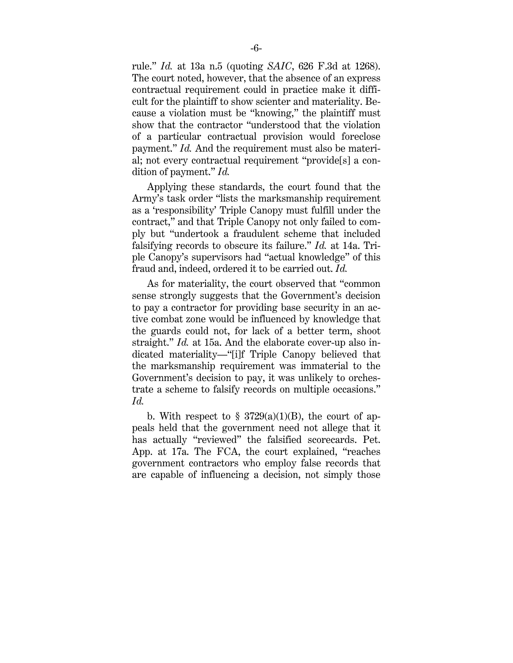rule." *Id.* at 13a n.5 (quoting *SAIC*, 626 F.3d at 1268). The court noted, however, that the absence of an express contractual requirement could in practice make it difficult for the plaintiff to show scienter and materiality. Because a violation must be "knowing," the plaintiff must show that the contractor "understood that the violation of a particular contractual provision would foreclose payment." *Id.* And the requirement must also be material; not every contractual requirement "provide[s] a condition of payment." *Id.*

Applying these standards, the court found that the Army's task order "lists the marksmanship requirement as a 'responsibility' Triple Canopy must fulfill under the contract," and that Triple Canopy not only failed to comply but "undertook a fraudulent scheme that included falsifying records to obscure its failure." *Id.* at 14a. Triple Canopy's supervisors had "actual knowledge" of this fraud and, indeed, ordered it to be carried out. *Id.*

As for materiality, the court observed that "common sense strongly suggests that the Government's decision to pay a contractor for providing base security in an active combat zone would be influenced by knowledge that the guards could not, for lack of a better term, shoot straight." *Id.* at 15a. And the elaborate cover-up also indicated materiality—"[i]f Triple Canopy believed that the marksmanship requirement was immaterial to the Government's decision to pay, it was unlikely to orchestrate a scheme to falsify records on multiple occasions." *Id.*

b. With respect to  $\S$  3729(a)(1)(B), the court of appeals held that the government need not allege that it has actually "reviewed" the falsified scorecards. Pet. App. at 17a. The FCA, the court explained, "reaches government contractors who employ false records that are capable of influencing a decision, not simply those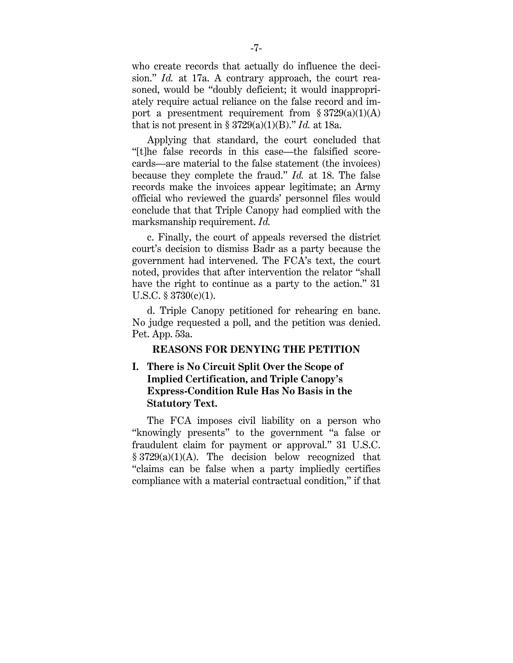who create records that actually do influence the decision." *Id.* at 17a. A contrary approach, the court reasoned, would be "doubly deficient; it would inappropriately require actual reliance on the false record and import a presentment requirement from  $\S 3729(a)(1)(A)$ that is not present in  $\S 3729(a)(1)(B)$ ." *Id.* at 18a.

Applying that standard, the court concluded that "[t]he false records in this case—the falsified scorecards—are material to the false statement (the invoices) because they complete the fraud." *Id.* at 18. The false records make the invoices appear legitimate; an Army official who reviewed the guards' personnel files would conclude that that Triple Canopy had complied with the marksmanship requirement. *Id.*

c. Finally, the court of appeals reversed the district court's decision to dismiss Badr as a party because the government had intervened. The FCA's text, the court noted, provides that after intervention the relator "shall have the right to continue as a party to the action." 31 U.S.C. § 3730(c)(1).

d. Triple Canopy petitioned for rehearing en banc. No judge requested a poll, and the petition was denied. Pet. App. 53a.

### **REASONS FOR DENYING THE PETITION**

## **I. There is No Circuit Split Over the Scope of Implied Certification, and Triple Canopy's Express-Condition Rule Has No Basis in the Statutory Text.**

The FCA imposes civil liability on a person who "knowingly presents" to the government "a false or fraudulent claim for payment or approval." 31 U.S.C.  $§ 3729(a)(1)(A)$ . The decision below recognized that "claims can be false when a party impliedly certifies compliance with a material contractual condition," if that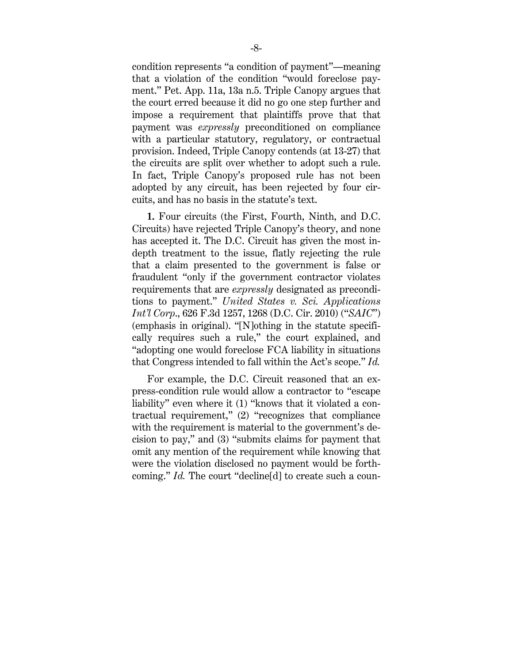condition represents "a condition of payment"—meaning that a violation of the condition "would foreclose payment." Pet. App. 11a, 13a n.5. Triple Canopy argues that the court erred because it did no go one step further and impose a requirement that plaintiffs prove that that payment was *expressly* preconditioned on compliance with a particular statutory, regulatory, or contractual provision. Indeed, Triple Canopy contends (at 13-27) that the circuits are split over whether to adopt such a rule. In fact, Triple Canopy's proposed rule has not been adopted by any circuit, has been rejected by four circuits, and has no basis in the statute's text.

**1.** Four circuits (the First, Fourth, Ninth, and D.C. Circuits) have rejected Triple Canopy's theory, and none has accepted it. The D.C. Circuit has given the most indepth treatment to the issue, flatly rejecting the rule that a claim presented to the government is false or fraudulent "only if the government contractor violates requirements that are *expressly* designated as preconditions to payment." *United States v. Sci. Applications Int'l Corp*., 626 F.3d 1257, 1268 (D.C. Cir. 2010) ("*SAIC*") (emphasis in original). "[N]othing in the statute specifically requires such a rule," the court explained, and "adopting one would foreclose FCA liability in situations that Congress intended to fall within the Act's scope." *Id.*

For example, the D.C. Circuit reasoned that an express-condition rule would allow a contractor to "escape liability" even where it (1) "knows that it violated a contractual requirement," (2) "recognizes that compliance with the requirement is material to the government's decision to pay," and (3) "submits claims for payment that omit any mention of the requirement while knowing that were the violation disclosed no payment would be forthcoming." *Id.* The court "decline[d] to create such a coun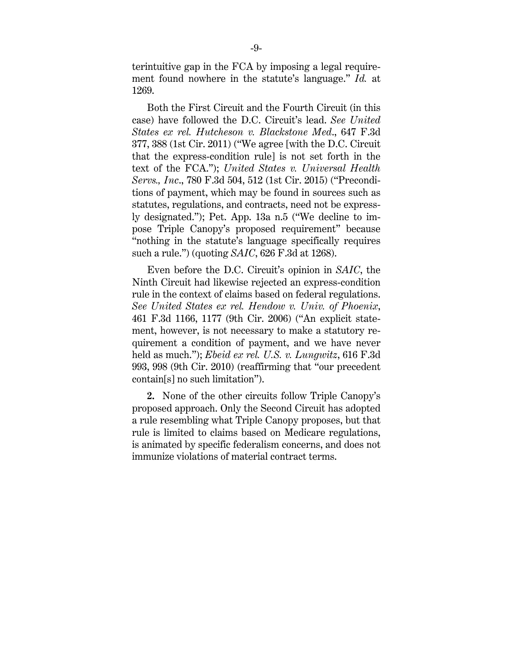terintuitive gap in the FCA by imposing a legal requirement found nowhere in the statute's language." *Id.* at 1269.

Both the First Circuit and the Fourth Circuit (in this case) have followed the D.C. Circuit's lead. *See United States ex rel. Hutcheson v. Blackstone Med*., 647 F.3d 377, 388 (1st Cir. 2011) ("We agree [with the D.C. Circuit that the express-condition rule] is not set forth in the text of the FCA."); *United States v. Universal Health Servs., Inc*., 780 F.3d 504, 512 (1st Cir. 2015) ("Preconditions of payment, which may be found in sources such as statutes, regulations, and contracts, need not be expressly designated."); Pet. App. 13a n.5 ("We decline to impose Triple Canopy's proposed requirement" because "nothing in the statute's language specifically requires such a rule.") (quoting *SAIC*, 626 F.3d at 1268).

Even before the D.C. Circuit's opinion in *SAIC*, the Ninth Circuit had likewise rejected an express-condition rule in the context of claims based on federal regulations. *See United States ex rel. Hendow v. Univ. of Phoenix*, 461 F.3d 1166, 1177 (9th Cir. 2006) ("An explicit statement, however, is not necessary to make a statutory requirement a condition of payment, and we have never held as much."); *Ebeid ex rel. U.S. v. Lungwitz*, 616 F.3d 993, 998 (9th Cir. 2010) (reaffirming that "our precedent contain[s] no such limitation").

**2.** None of the other circuits follow Triple Canopy's proposed approach. Only the Second Circuit has adopted a rule resembling what Triple Canopy proposes, but that rule is limited to claims based on Medicare regulations, is animated by specific federalism concerns, and does not immunize violations of material contract terms.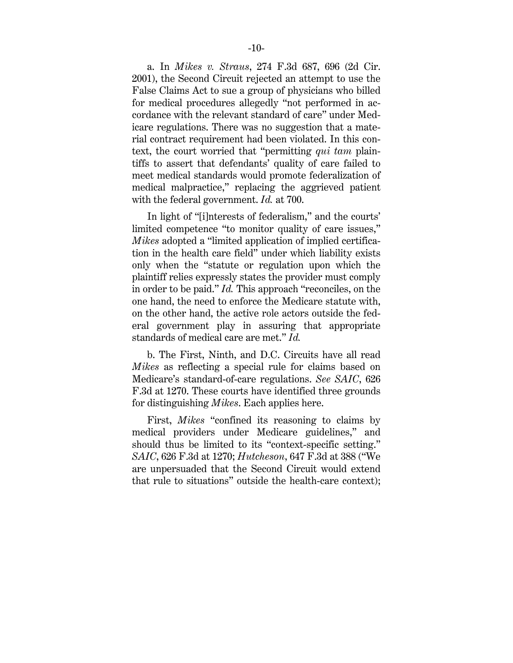a. In *Mikes v. Straus*, 274 F.3d 687, 696 (2d Cir. 2001), the Second Circuit rejected an attempt to use the False Claims Act to sue a group of physicians who billed for medical procedures allegedly "not performed in accordance with the relevant standard of care" under Medicare regulations. There was no suggestion that a material contract requirement had been violated. In this context, the court worried that "permitting *qui tam* plaintiffs to assert that defendants' quality of care failed to meet medical standards would promote federalization of medical malpractice," replacing the aggrieved patient with the federal government. *Id.* at 700.

In light of "[i]nterests of federalism," and the courts' limited competence "to monitor quality of care issues," *Mikes* adopted a "limited application of implied certification in the health care field" under which liability exists only when the "statute or regulation upon which the plaintiff relies expressly states the provider must comply in order to be paid." *Id.* This approach "reconciles, on the one hand, the need to enforce the Medicare statute with, on the other hand, the active role actors outside the federal government play in assuring that appropriate standards of medical care are met." *Id.*

b. The First, Ninth, and D.C. Circuits have all read *Mikes* as reflecting a special rule for claims based on Medicare's standard-of-care regulations. *See SAIC*, 626 F.3d at 1270. These courts have identified three grounds for distinguishing *Mikes*. Each applies here.

First, *Mikes* "confined its reasoning to claims by medical providers under Medicare guidelines," and should thus be limited to its "context-specific setting." *SAIC*, 626 F.3d at 1270; *Hutcheson*, 647 F.3d at 388 ("We are unpersuaded that the Second Circuit would extend that rule to situations" outside the health-care context);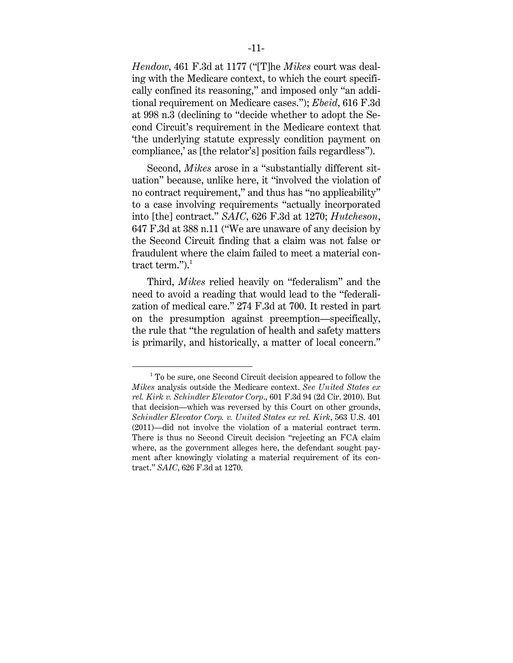*Hendow*, 461 F.3d at 1177 ("[T]he *Mikes* court was dealing with the Medicare context, to which the court specifically confined its reasoning," and imposed only "an additional requirement on Medicare cases."); *Ebeid*, 616 F.3d at 998 n.3 (declining to "decide whether to adopt the Second Circuit's requirement in the Medicare context that 'the underlying statute expressly condition payment on compliance,' as [the relator's] position fails regardless").

Second, *Mikes* arose in a "substantially different situation" because, unlike here, it "involved the violation of no contract requirement," and thus has "no applicability" to a case involving requirements "actually incorporated into [the] contract." *SAIC*, 626 F.3d at 1270; *Hutcheson*, 647 F.3d at 388 n.11 ("We are unaware of any decision by the Second Circuit finding that a claim was not false or fraudulent where the claim failed to meet a material contract term."). $^1$ 

Third, *Mikes* relied heavily on "federalism" and the need to avoid a reading that would lead to the "federalization of medical care." 274 F.3d at 700. It rested in part on the presumption against preemption—specifically, the rule that "the regulation of health and safety matters is primarily, and historically, a matter of local concern."

<sup>&</sup>lt;sup>1</sup> To be sure, one Second Circuit decision appeared to follow the *Mikes* analysis outside the Medicare context. *See United States ex rel. Kirk v. Schindler Elevator Corp*., 601 F.3d 94 (2d Cir. 2010). But that decision—which was reversed by this Court on other grounds, *Schindler Elevator Corp. v. United States ex rel. Kirk*, 563 U.S. 401 (2011)—did not involve the violation of a material contract term. There is thus no Second Circuit decision "rejecting an FCA claim where, as the government alleges here, the defendant sought payment after knowingly violating a material requirement of its contract." *SAIC*, 626 F.3d at 1270.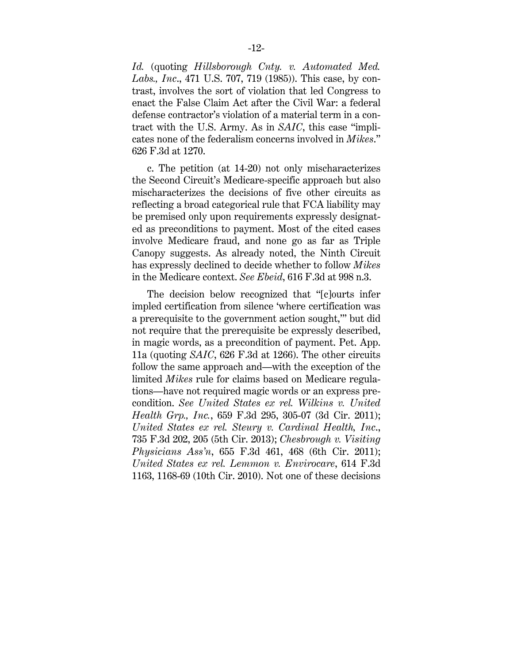*Id.* (quoting *Hillsborough Cnty. v. Automated Med. Labs., Inc*., 471 U.S. 707, 719 (1985)). This case, by contrast, involves the sort of violation that led Congress to enact the False Claim Act after the Civil War: a federal defense contractor's violation of a material term in a contract with the U.S. Army. As in *SAIC*, this case "implicates none of the federalism concerns involved in *Mikes*." 626 F.3d at 1270.

c. The petition (at 14-20) not only mischaracterizes the Second Circuit's Medicare-specific approach but also mischaracterizes the decisions of five other circuits as reflecting a broad categorical rule that FCA liability may be premised only upon requirements expressly designated as preconditions to payment. Most of the cited cases involve Medicare fraud, and none go as far as Triple Canopy suggests. As already noted, the Ninth Circuit has expressly declined to decide whether to follow *Mikes* in the Medicare context. *See Ebeid*, 616 F.3d at 998 n.3.

The decision below recognized that "[c]ourts infer impled certification from silence 'where certification was a prerequisite to the government action sought,'" but did not require that the prerequisite be expressly described, in magic words, as a precondition of payment. Pet. App. 11a (quoting *SAIC*, 626 F.3d at 1266). The other circuits follow the same approach and—with the exception of the limited *Mikes* rule for claims based on Medicare regulations—have not required magic words or an express precondition. *See United States ex rel. Wilkins v. United Health Grp., Inc.*, 659 F.3d 295, 305-07 (3d Cir. 2011); *United States ex rel. Steury v. Cardinal Health, Inc*., 735 F.3d 202, 205 (5th Cir. 2013); *Chesbrough v. Visiting Physicians Ass'n*, 655 F.3d 461, 468 (6th Cir. 2011); *United States ex rel. Lemmon v. Envirocare*, 614 F.3d 1163, 1168-69 (10th Cir. 2010). Not one of these decisions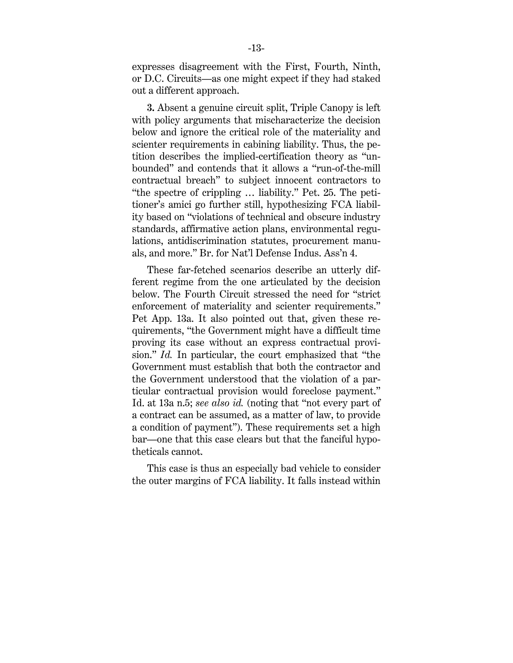expresses disagreement with the First, Fourth, Ninth, or D.C. Circuits—as one might expect if they had staked out a different approach.

**3.** Absent a genuine circuit split, Triple Canopy is left with policy arguments that mischaracterize the decision below and ignore the critical role of the materiality and scienter requirements in cabining liability. Thus, the petition describes the implied-certification theory as "unbounded" and contends that it allows a "run-of-the-mill contractual breach" to subject innocent contractors to "the spectre of crippling … liability." Pet. 25. The petitioner's amici go further still, hypothesizing FCA liability based on "violations of technical and obscure industry standards, affirmative action plans, environmental regulations, antidiscrimination statutes, procurement manuals, and more." Br. for Nat'l Defense Indus. Ass'n 4.

These far-fetched scenarios describe an utterly different regime from the one articulated by the decision below. The Fourth Circuit stressed the need for "strict enforcement of materiality and scienter requirements." Pet App. 13a. It also pointed out that, given these requirements, "the Government might have a difficult time proving its case without an express contractual provision." *Id.* In particular, the court emphasized that "the Government must establish that both the contractor and the Government understood that the violation of a particular contractual provision would foreclose payment." Id. at 13a n.5; *see also id.* (noting that "not every part of a contract can be assumed, as a matter of law, to provide a condition of payment"). These requirements set a high bar—one that this case clears but that the fanciful hypotheticals cannot.

This case is thus an especially bad vehicle to consider the outer margins of FCA liability. It falls instead within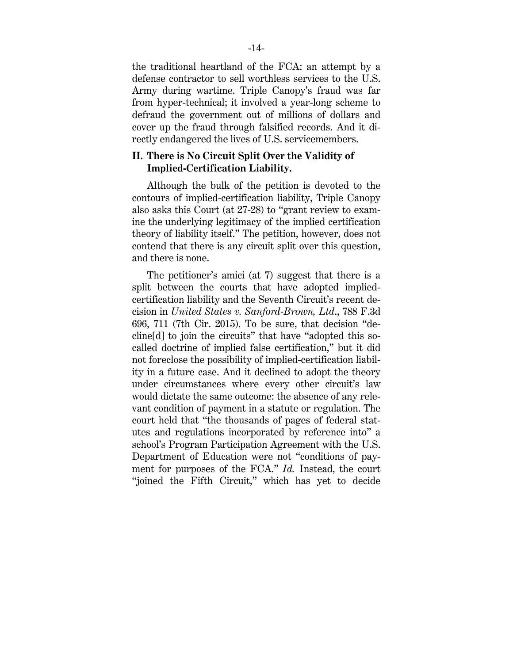the traditional heartland of the FCA: an attempt by a defense contractor to sell worthless services to the U.S. Army during wartime. Triple Canopy's fraud was far from hyper-technical; it involved a year-long scheme to defraud the government out of millions of dollars and cover up the fraud through falsified records. And it directly endangered the lives of U.S. servicemembers.

### **II. There is No Circuit Split Over the Validity of Implied-Certification Liability.**

Although the bulk of the petition is devoted to the contours of implied-certification liability, Triple Canopy also asks this Court (at 27-28) to "grant review to examine the underlying legitimacy of the implied certification theory of liability itself." The petition, however, does not contend that there is any circuit split over this question, and there is none.

The petitioner's amici (at 7) suggest that there is a split between the courts that have adopted impliedcertification liability and the Seventh Circuit's recent decision in *United States v. Sanford-Brown, Ltd*., 788 F.3d 696, 711 (7th Cir. 2015). To be sure, that decision "decline[d] to join the circuits" that have "adopted this socalled doctrine of implied false certification," but it did not foreclose the possibility of implied-certification liability in a future case. And it declined to adopt the theory under circumstances where every other circuit's law would dictate the same outcome: the absence of any relevant condition of payment in a statute or regulation. The court held that "the thousands of pages of federal statutes and regulations incorporated by reference into" a school's Program Participation Agreement with the U.S. Department of Education were not "conditions of payment for purposes of the FCA." *Id.* Instead, the court "joined the Fifth Circuit," which has yet to decide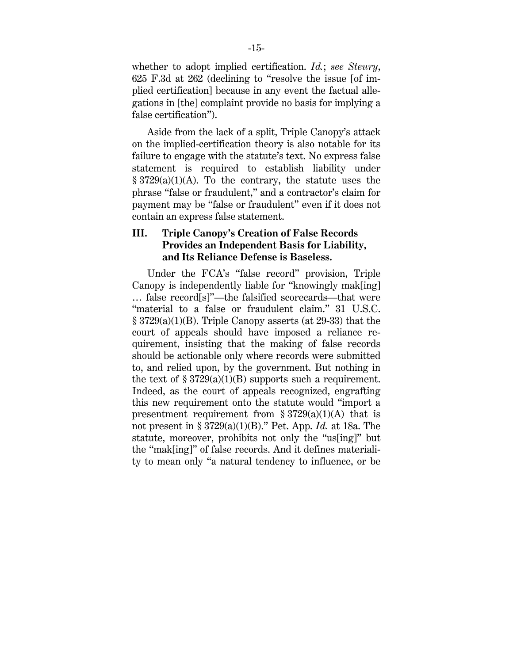whether to adopt implied certification. *Id.*; *see Steury*, 625 F.3d at 262 (declining to "resolve the issue [of implied certification] because in any event the factual allegations in [the] complaint provide no basis for implying a false certification").

Aside from the lack of a split, Triple Canopy's attack on the implied-certification theory is also notable for its failure to engage with the statute's text. No express false statement is required to establish liability under  $\S 3729(a)(1)(A)$ . To the contrary, the statute uses the phrase "false or fraudulent," and a contractor's claim for payment may be "false or fraudulent" even if it does not contain an express false statement.

### **III. Triple Canopy's Creation of False Records Provides an Independent Basis for Liability, and Its Reliance Defense is Baseless.**

Under the FCA's "false record" provision, Triple Canopy is independently liable for "knowingly mak[ing] … false record[s]"—the falsified scorecards—that were "material to a false or fraudulent claim." 31 U.S.C. § 3729(a)(1)(B). Triple Canopy asserts (at 29-33) that the court of appeals should have imposed a reliance requirement, insisting that the making of false records should be actionable only where records were submitted to, and relied upon, by the government. But nothing in the text of  $\S 3729(a)(1)(B)$  supports such a requirement. Indeed, as the court of appeals recognized, engrafting this new requirement onto the statute would "import a presentment requirement from  $\S 3729(a)(1)(A)$  that is not present in § 3729(a)(1)(B)." Pet. App. *Id.* at 18a. The statute, moreover, prohibits not only the "us[ing]" but the "mak[ing]" of false records. And it defines materiality to mean only "a natural tendency to influence, or be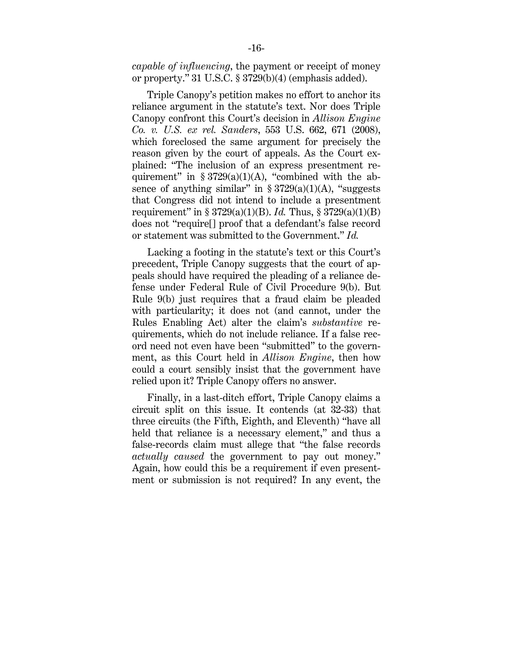*capable of influencing*, the payment or receipt of money or property." 31 U.S.C. § 3729(b)(4) (emphasis added).

Triple Canopy's petition makes no effort to anchor its reliance argument in the statute's text. Nor does Triple Canopy confront this Court's decision in *Allison Engine Co. v. U.S. ex rel. Sanders*, 553 U.S. 662, 671 (2008), which foreclosed the same argument for precisely the reason given by the court of appeals. As the Court explained: "The inclusion of an express presentment requirement" in  $\S 3729(a)(1)(A)$ , "combined with the absence of anything similar" in  $\S 3729(a)(1)(A)$ , "suggests that Congress did not intend to include a presentment requirement" in § 3729(a)(1)(B). *Id.* Thus, § 3729(a)(1)(B) does not "require[] proof that a defendant's false record or statement was submitted to the Government." *Id.*

Lacking a footing in the statute's text or this Court's precedent, Triple Canopy suggests that the court of appeals should have required the pleading of a reliance defense under Federal Rule of Civil Procedure 9(b). But Rule 9(b) just requires that a fraud claim be pleaded with particularity; it does not (and cannot, under the Rules Enabling Act) alter the claim's *substantive* requirements, which do not include reliance. If a false record need not even have been "submitted" to the government, as this Court held in *Allison Engine*, then how could a court sensibly insist that the government have relied upon it? Triple Canopy offers no answer.

Finally, in a last-ditch effort, Triple Canopy claims a circuit split on this issue. It contends (at 32-33) that three circuits (the Fifth, Eighth, and Eleventh) "have all held that reliance is a necessary element," and thus a false-records claim must allege that "the false records *actually caused* the government to pay out money." Again, how could this be a requirement if even presentment or submission is not required? In any event, the